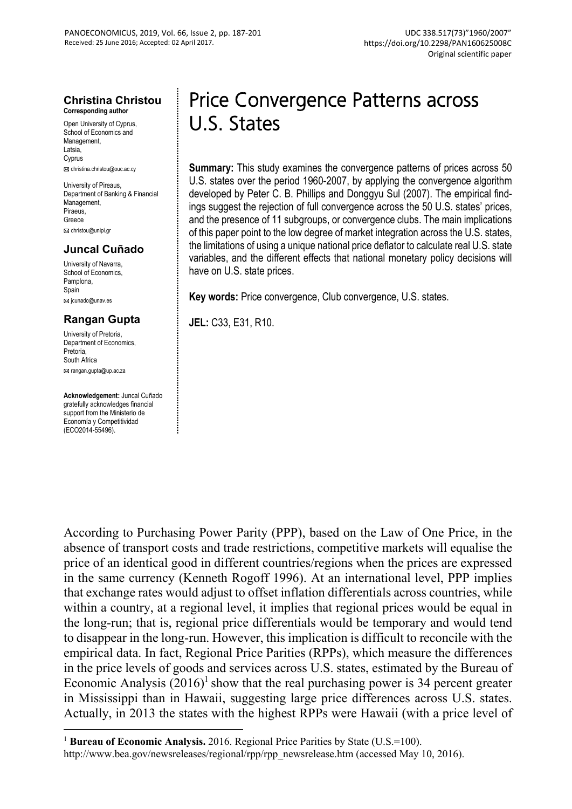#### **Christina Christou Corresponding author**

Open University of Cyprus, School of Economics and Management, Latsia, Cyprus christina.christou@ouc.ac.cy

University of Pireaus, Department of Banking & Financial Management. **Piraeus** Greece christou@unipi.gr

### **Juncal Cuñado**

University of Navarra, School of Economics. Pamplona Spain **Ed** jcunado@unav.es

#### **Rangan Gupta**

University of Pretoria, Department of Economics, Pretoria, South Africa

rangan.gupta@up.ac.za

 $\overline{a}$ 

**Acknowledgement:** Juncal Cuñado gratefully acknowledges financial support from the Ministerio de Economía y Competitividad (ECO2014-55496).

# Price Convergence Patterns across U.S. States

**Summary:** This study examines the convergence patterns of prices across 50 U.S. states over the period 1960-2007, by applying the convergence algorithm developed by Peter C. B. Phillips and Donggyu Sul (2007). The empirical findings suggest the rejection of full convergence across the 50 U.S. states' prices, and the presence of 11 subgroups, or convergence clubs. The main implications of this paper point to the low degree of market integration across the U.S. states, the limitations of using a unique national price deflator to calculate real U.S. state variables, and the different effects that national monetary policy decisions will have on U.S. state prices.

**Key words:** Price convergence, Club convergence, U.S. states.

**JEL:** C33, E31, R10.

According to Purchasing Power Parity (PPP), based on the Law of One Price, in the absence of transport costs and trade restrictions, competitive markets will equalise the price of an identical good in different countries/regions when the prices are expressed in the same currency (Kenneth Rogoff 1996). At an international level, PPP implies that exchange rates would adjust to offset inflation differentials across countries, while within a country, at a regional level, it implies that regional prices would be equal in the long-run; that is, regional price differentials would be temporary and would tend to disappear in the long-run. However, this implication is difficult to reconcile with the empirical data. In fact, Regional Price Parities (RPPs), which measure the differences in the price levels of goods and services across U.S. states, estimated by the Bureau of Economic Analysis  $(2016)^1$  show that the real purchasing power is 34 percent greater in Mississippi than in Hawaii, suggesting large price differences across U.S. states. Actually, in 2013 the states with the highest RPPs were Hawaii (with a price level of

<sup>&</sup>lt;sup>1</sup> **Bureau of Economic Analysis.** 2016. Regional Price Parities by State (U.S.=100).

http://www.bea.gov/newsreleases/regional/rpp/rpp\_newsrelease.htm (accessed May 10, 2016).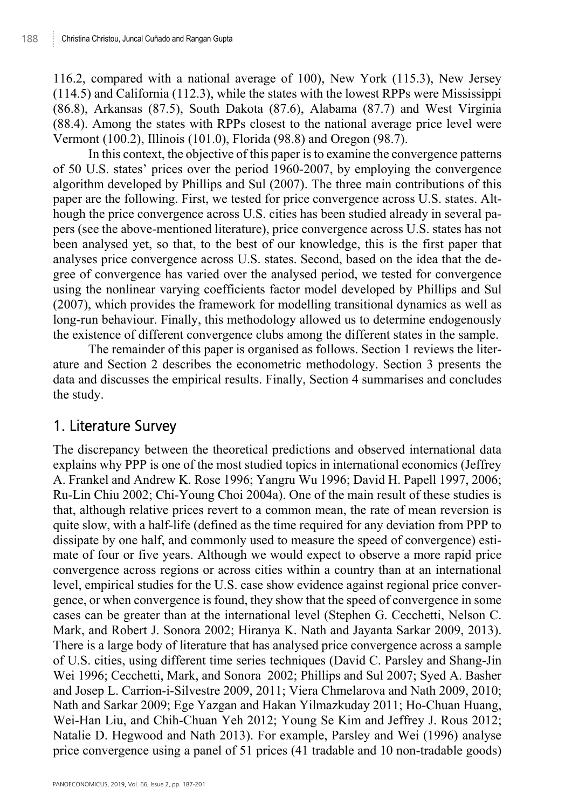116.2, compared with a national average of 100), New York (115.3), New Jersey (114.5) and California (112.3), while the states with the lowest RPPs were Mississippi (86.8), Arkansas (87.5), South Dakota (87.6), Alabama (87.7) and West Virginia (88.4). Among the states with RPPs closest to the national average price level were Vermont (100.2), Illinois (101.0), Florida (98.8) and Oregon (98.7).

In this context, the objective of this paper is to examine the convergence patterns of 50 U.S. states' prices over the period 1960-2007, by employing the convergence algorithm developed by Phillips and Sul (2007). The three main contributions of this paper are the following. First, we tested for price convergence across U.S. states. Although the price convergence across U.S. cities has been studied already in several papers (see the above-mentioned literature), price convergence across U.S. states has not been analysed yet, so that, to the best of our knowledge, this is the first paper that analyses price convergence across U.S. states. Second, based on the idea that the degree of convergence has varied over the analysed period, we tested for convergence using the nonlinear varying coefficients factor model developed by Phillips and Sul (2007), which provides the framework for modelling transitional dynamics as well as long-run behaviour. Finally, this methodology allowed us to determine endogenously the existence of different convergence clubs among the different states in the sample.

The remainder of this paper is organised as follows. Section 1 reviews the literature and Section 2 describes the econometric methodology. Section 3 presents the data and discusses the empirical results. Finally, Section 4 summarises and concludes the study.

## 1. Literature Survey

The discrepancy between the theoretical predictions and observed international data explains why PPP is one of the most studied topics in international economics (Jeffrey A. Frankel and Andrew K. Rose 1996; Yangru Wu 1996; David H. Papell 1997, 2006; Ru-Lin Chiu 2002; Chi-Young Choi 2004a). One of the main result of these studies is that, although relative prices revert to a common mean, the rate of mean reversion is quite slow, with a half-life (defined as the time required for any deviation from PPP to dissipate by one half, and commonly used to measure the speed of convergence) estimate of four or five years. Although we would expect to observe a more rapid price convergence across regions or across cities within a country than at an international level, empirical studies for the U.S. case show evidence against regional price convergence, or when convergence is found, they show that the speed of convergence in some cases can be greater than at the international level (Stephen G. Cecchetti, Nelson C. Mark, and Robert J. Sonora 2002; Hiranya K. Nath and Jayanta Sarkar 2009, 2013). There is a large body of literature that has analysed price convergence across a sample of U.S. cities, using different time series techniques (David C. Parsley and Shang-Jin Wei 1996; Cecchetti, Mark, and Sonora 2002; Phillips and Sul 2007; Syed A. Basher and Josep L. Carrion-i-Silvestre 2009, 2011; Viera Chmelarova and Nath 2009, 2010; Nath and Sarkar 2009; Ege Yazgan and Hakan Yilmazkuday 2011; Ho-Chuan Huang, Wei-Han Liu, and Chih-Chuan Yeh 2012; Young Se Kim and Jeffrey J. Rous 2012; Natalie D. Hegwood and Nath 2013). For example, Parsley and Wei (1996) analyse price convergence using a panel of 51 prices (41 tradable and 10 non-tradable goods)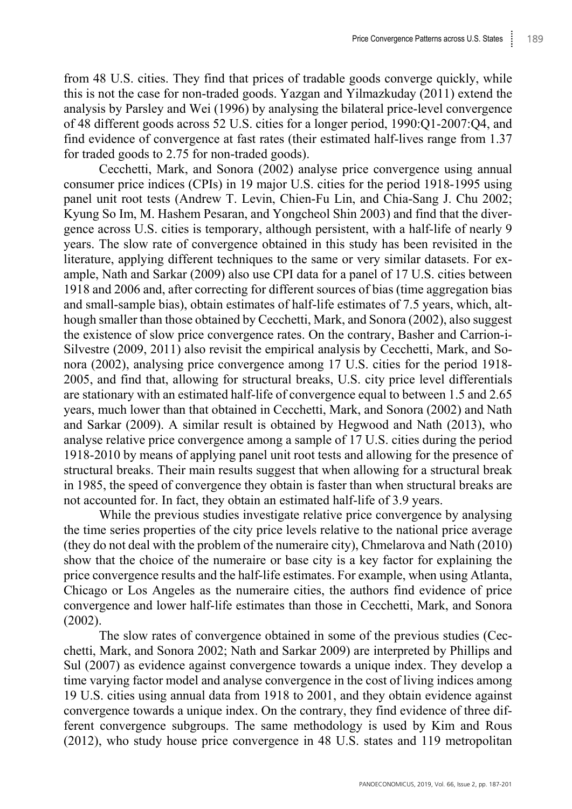from 48 U.S. cities. They find that prices of tradable goods converge quickly, while this is not the case for non-traded goods. Yazgan and Yilmazkuday (2011) extend the analysis by Parsley and Wei (1996) by analysing the bilateral price-level convergence of 48 different goods across 52 U.S. cities for a longer period, 1990:Q1-2007:Q4, and find evidence of convergence at fast rates (their estimated half-lives range from 1.37 for traded goods to 2.75 for non-traded goods).

Cecchetti, Mark, and Sonora (2002) analyse price convergence using annual consumer price indices (CPIs) in 19 major U.S. cities for the period 1918-1995 using panel unit root tests (Andrew T. Levin, Chien-Fu Lin, and Chia-Sang J. Chu 2002; Kyung So Im, M. Hashem Pesaran, and Yongcheol Shin 2003) and find that the divergence across U.S. cities is temporary, although persistent, with a half-life of nearly 9 years. The slow rate of convergence obtained in this study has been revisited in the literature, applying different techniques to the same or very similar datasets. For example, Nath and Sarkar (2009) also use CPI data for a panel of 17 U.S. cities between 1918 and 2006 and, after correcting for different sources of bias (time aggregation bias and small-sample bias), obtain estimates of half-life estimates of 7.5 years, which, although smaller than those obtained by Cecchetti, Mark, and Sonora (2002), also suggest the existence of slow price convergence rates. On the contrary, Basher and Carrion-i-Silvestre (2009, 2011) also revisit the empirical analysis by Cecchetti, Mark, and Sonora (2002), analysing price convergence among 17 U.S. cities for the period 1918- 2005, and find that, allowing for structural breaks, U.S. city price level differentials are stationary with an estimated half-life of convergence equal to between 1.5 and 2.65 years, much lower than that obtained in Cecchetti, Mark, and Sonora (2002) and Nath and Sarkar (2009). A similar result is obtained by Hegwood and Nath (2013), who analyse relative price convergence among a sample of 17 U.S. cities during the period 1918-2010 by means of applying panel unit root tests and allowing for the presence of structural breaks. Their main results suggest that when allowing for a structural break in 1985, the speed of convergence they obtain is faster than when structural breaks are not accounted for. In fact, they obtain an estimated half-life of 3.9 years.

While the previous studies investigate relative price convergence by analysing the time series properties of the city price levels relative to the national price average (they do not deal with the problem of the numeraire city), Chmelarova and Nath (2010) show that the choice of the numeraire or base city is a key factor for explaining the price convergence results and the half-life estimates. For example, when using Atlanta, Chicago or Los Angeles as the numeraire cities, the authors find evidence of price convergence and lower half-life estimates than those in Cecchetti, Mark, and Sonora (2002).

The slow rates of convergence obtained in some of the previous studies (Cecchetti, Mark, and Sonora 2002; Nath and Sarkar 2009) are interpreted by Phillips and Sul (2007) as evidence against convergence towards a unique index. They develop a time varying factor model and analyse convergence in the cost of living indices among 19 U.S. cities using annual data from 1918 to 2001, and they obtain evidence against convergence towards a unique index. On the contrary, they find evidence of three different convergence subgroups. The same methodology is used by Kim and Rous (2012), who study house price convergence in 48 U.S. states and 119 metropolitan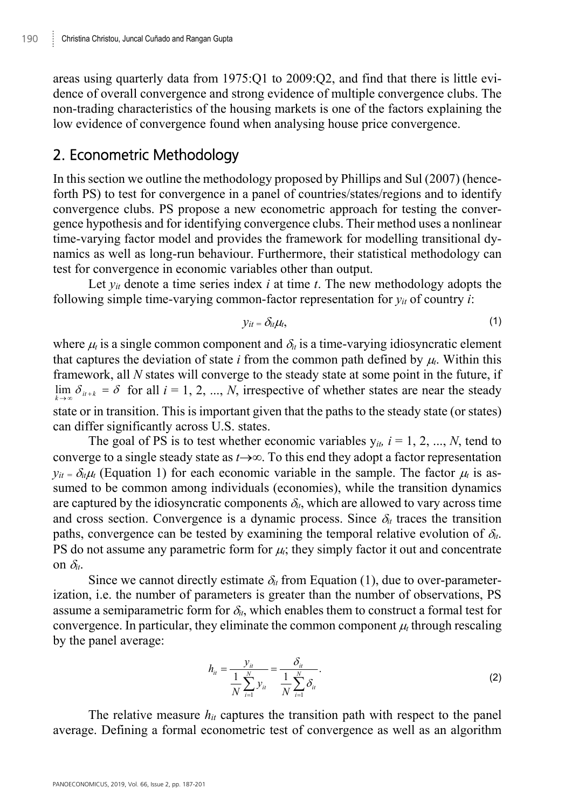areas using quarterly data from 1975:Q1 to 2009:Q2, and find that there is little evidence of overall convergence and strong evidence of multiple convergence clubs. The non-trading characteristics of the housing markets is one of the factors explaining the low evidence of convergence found when analysing house price convergence.

# 2. Econometric Methodology

In this section we outline the methodology proposed by Phillips and Sul (2007) (henceforth PS) to test for convergence in a panel of countries/states/regions and to identify convergence clubs. PS propose a new econometric approach for testing the convergence hypothesis and for identifying convergence clubs. Their method uses a nonlinear time-varying factor model and provides the framework for modelling transitional dynamics as well as long-run behaviour. Furthermore, their statistical methodology can test for convergence in economic variables other than output.

Let  $y_{it}$  denote a time series index  $i$  at time  $t$ . The new methodology adopts the following simple time-varying common-factor representation for  $y_{it}$  of country *i*:

$$
y_{it} = \delta_{it} \mu_t, \tag{1}
$$

where  $\mu_i$  is a single common component and  $\delta_i$  is a time-varying idiosyncratic element that captures the deviation of state  $i$  from the common path defined by  $\mu_i$ . Within this framework, all *N* states will converge to the steady state at some point in the future, if  $\lim_{k \to \infty} \delta_{i+k} = \delta$  for all  $i = 1, 2, ..., N$ , irrespective of whether states are near the steady state or in transition. This is important given that the paths to the steady state (or states) can differ significantly across U.S. states.

The goal of PS is to test whether economic variables  $y_{it}$ ,  $i = 1, 2, ..., N$ , tend to converge to a single steady state as  $t\rightarrow\infty$ . To this end they adopt a factor representation  $y_{it} = \delta_t \mu_t$  (Equation 1) for each economic variable in the sample. The factor  $\mu_t$  is assumed to be common among individuals (economies), while the transition dynamics are captured by the idiosyncratic components  $\delta_i$ , which are allowed to vary across time and cross section. Convergence is a dynamic process. Since  $\delta_t$  traces the transition paths, convergence can be tested by examining the temporal relative evolution of  $\delta_{it}$ . PS do not assume any parametric form for  $\mu_i$ ; they simply factor it out and concentrate on  $\delta_{it}$ .

Since we cannot directly estimate  $\delta_i$  from Equation (1), due to over-parameterization, i.e. the number of parameters is greater than the number of observations, PS assume a semiparametric form for  $\delta_{i}$ , which enables them to construct a formal test for convergence. In particular, they eliminate the common component  $\mu<sub>t</sub>$  through rescaling by the panel average:

$$
h_{tt} = \frac{y_{it}}{\frac{1}{N} \sum_{i=1}^{N} y_{it}} = \frac{\delta_{it}}{\frac{1}{N} \sum_{i=1}^{N} \delta_{it}}.
$$
 (2)

The relative measure  $h_{it}$  captures the transition path with respect to the panel average. Defining a formal econometric test of convergence as well as an algorithm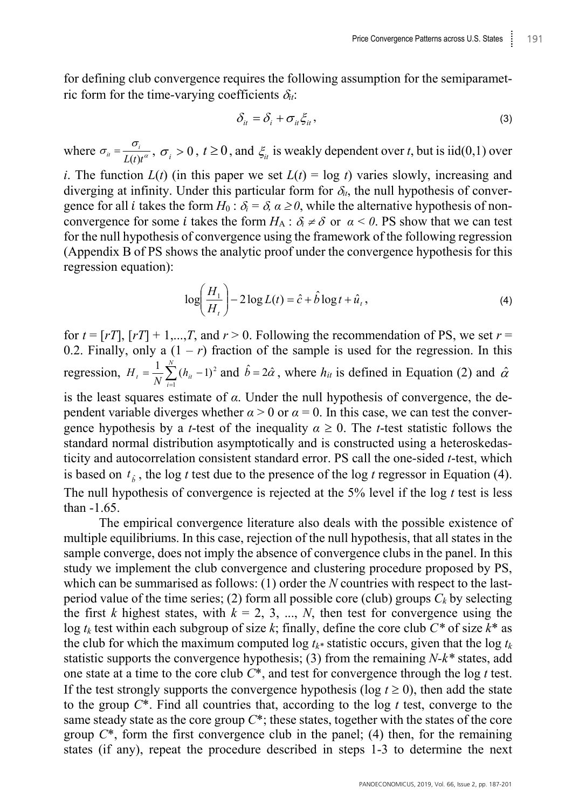for defining club convergence requires the following assumption for the semiparametric form for the time-varying coefficients  $\delta_{it}$ :

$$
\delta_{it} = \delta_i + \sigma_{it} \xi_{it},\tag{3}
$$

where  $\sigma_{ii} = \frac{\sigma_i}{L(t)t^a}$ ,  $\sigma_i > 0$ ,  $t \ge 0$ , and  $\xi_{ii}$  is weakly dependent over *t*, but is iid(0,1) over

*i*. The function  $L(t)$  (in this paper we set  $L(t) = \log t$ ) varies slowly, increasing and diverging at infinity. Under this particular form for  $\delta_{it}$ , the null hypothesis of convergence for all *i* takes the form  $H_0: \delta_i = \delta_i$   $\alpha \geq 0$ , while the alternative hypothesis of nonconvergence for some *i* takes the form  $H_A$ :  $\delta_i \neq \delta$  or  $\alpha < 0$ . PS show that we can test for the null hypothesis of convergence using the framework of the following regression (Appendix B of PS shows the analytic proof under the convergence hypothesis for this regression equation):

$$
\log\left(\frac{H_1}{H_t}\right) - 2\log L(t) = \hat{c} + \hat{b}\log t + \hat{u}_t,
$$
\n(4)

for  $t = [rT]$ ,  $[rT] + 1,...,T$ , and  $r > 0$ . Following the recommendation of PS, we set  $r =$ 0.2. Finally, only a  $(1 - r)$  fraction of the sample is used for the regression. In this regression,  $H_t = \frac{1}{N} \sum_{i=1}^{N} (h_{it} H_t = \frac{1}{N} \sum_{i=1}^{N} (h_{it} - 1)^2$  and  $\hat{b} = 2\hat{\alpha}$ , where  $h_{it}$  is defined in Equation (2) and  $\hat{\alpha}$ is the least squares estimate of *α*. Under the null hypothesis of convergence, the dependent variable diverges whether  $\alpha > 0$  or  $\alpha = 0$ . In this case, we can test the convergence hypothesis by a *t*-test of the inequality  $\alpha \ge 0$ . The *t*-test statistic follows the standard normal distribution asymptotically and is constructed using a heteroskedasticity and autocorrelation consistent standard error. PS call the one-sided *t*-test, which is based on  $t_i$ , the log *t* test due to the presence of the log *t* regressor in Equation (4). The null hypothesis of convergence is rejected at the 5% level if the log *t* test is less than -1.65.

The empirical convergence literature also deals with the possible existence of multiple equilibriums. In this case, rejection of the null hypothesis, that all states in the sample converge, does not imply the absence of convergence clubs in the panel. In this study we implement the club convergence and clustering procedure proposed by PS, which can be summarised as follows: (1) order the *N* countries with respect to the lastperiod value of the time series; (2) form all possible core (club) groups  $C_k$  by selecting the first *k* highest states, with  $k = 2, 3, ..., N$ , then test for convergence using the log *tk* test within each subgroup of size *k*; finally, define the core club *C\** of size *k*\* as the club for which the maximum computed  $\log t_k$ <sup>\*</sup> statistic occurs, given that the  $\log t_k$ statistic supports the convergence hypothesis; (3) from the remaining *N-k\** states, add one state at a time to the core club *C*\*, and test for convergence through the log *t* test. If the test strongly supports the convergence hypothesis (log  $t \ge 0$ ), then add the state to the group *C*\*. Find all countries that, according to the log *t* test, converge to the same steady state as the core group *C*\*; these states, together with the states of the core group *C*\*, form the first convergence club in the panel; (4) then, for the remaining states (if any), repeat the procedure described in steps 1-3 to determine the next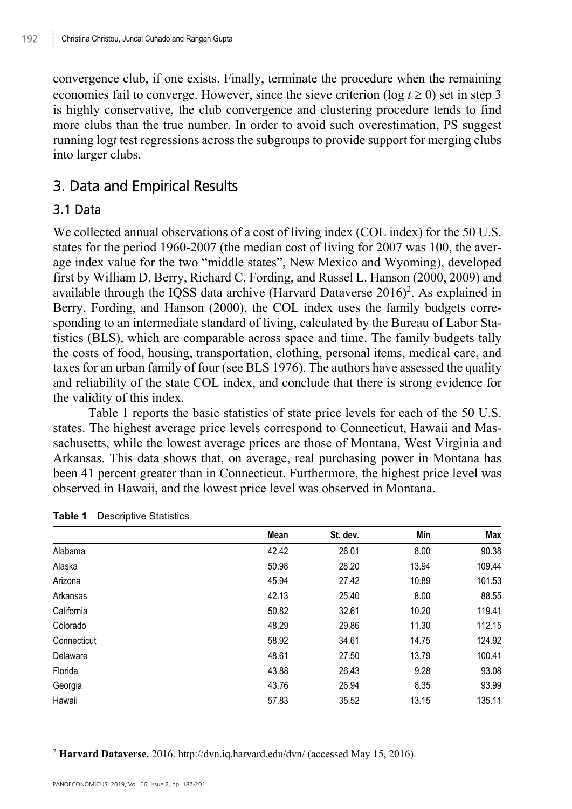convergence club, if one exists. Finally, terminate the procedure when the remaining economies fail to converge. However, since the sieve criterion (log  $t \ge 0$ ) set in step 3 is highly conservative, the club convergence and clustering procedure tends to find more clubs than the true number. In order to avoid such overestimation, PS suggest running log*t* test regressions across the subgroups to provide support for merging clubs into larger clubs.

# 3. Data and Empirical Results

### 3.1 Data

We collected annual observations of a cost of living index (COL index) for the 50 U.S. states for the period 1960-2007 (the median cost of living for 2007 was 100, the average index value for the two "middle states", New Mexico and Wyoming), developed first by William D. Berry, Richard C. Fording, and Russel L. Hanson (2000, 2009) and available through the IQSS data archive (Harvard Dataverse 2016)<sup>2</sup>. As explained in Berry, Fording, and Hanson (2000), the COL index uses the family budgets corresponding to an intermediate standard of living, calculated by the Bureau of Labor Statistics (BLS), which are comparable across space and time. The family budgets tally the costs of food, housing, transportation, clothing, personal items, medical care, and taxes for an urban family of four (see BLS 1976). The authors have assessed the quality and reliability of the state COL index, and conclude that there is strong evidence for the validity of this index.

Table 1 reports the basic statistics of state price levels for each of the 50 U.S. states. The highest average price levels correspond to Connecticut, Hawaii and Massachusetts, while the lowest average prices are those of Montana, West Virginia and Arkansas. This data shows that, on average, real purchasing power in Montana has been 41 percent greater than in Connecticut. Furthermore, the highest price level was observed in Hawaii, and the lowest price level was observed in Montana.

|             | Mean  | St. dev. | Min   | Max    |
|-------------|-------|----------|-------|--------|
| Alabama     | 42.42 | 26.01    | 8.00  | 90.38  |
| Alaska      | 50.98 | 28.20    | 13.94 | 109.44 |
| Arizona     | 45.94 | 27.42    | 10.89 | 101.53 |
| Arkansas    | 42.13 | 25.40    | 8.00  | 88.55  |
| California  | 50.82 | 32.61    | 10.20 | 119.41 |
| Colorado    | 48.29 | 29.86    | 11.30 | 112.15 |
| Connecticut | 58.92 | 34.61    | 14.75 | 124.92 |
| Delaware    | 48.61 | 27.50    | 13.79 | 100.41 |
| Florida     | 43.88 | 26.43    | 9.28  | 93.08  |
| Georgia     | 43.76 | 26.94    | 8.35  | 93.99  |
| Hawaii      | 57.83 | 35.52    | 13.15 | 135.11 |

#### **Table 1** Descriptive Statistics

<sup>2</sup> **Harvard Dataverse.** 2016. http://dvn.iq.harvard.edu/dvn/ (accessed May 15, 2016).

 $\overline{a}$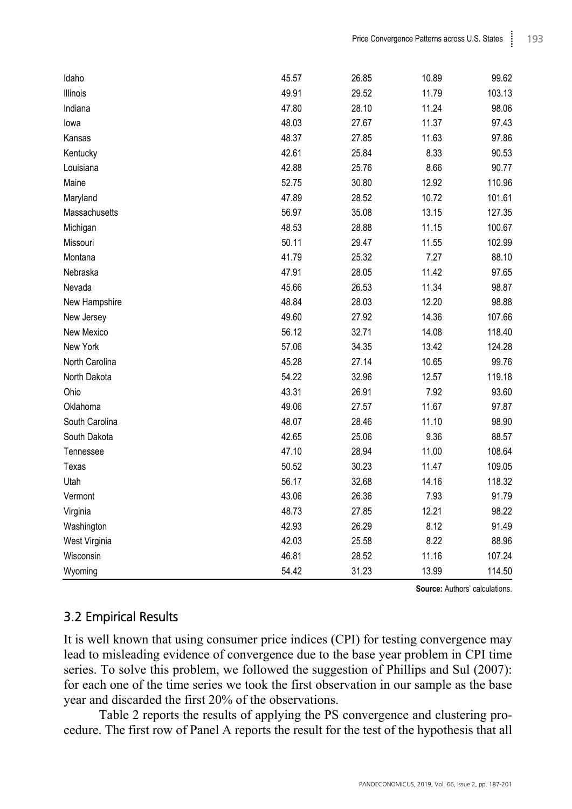| Idaho          | 45.57 | 26.85 | 10.89 | 99.62  |
|----------------|-------|-------|-------|--------|
| Illinois       | 49.91 | 29.52 | 11.79 | 103.13 |
| Indiana        | 47.80 | 28.10 | 11.24 | 98.06  |
| lowa           | 48.03 | 27.67 | 11.37 | 97.43  |
| Kansas         | 48.37 | 27.85 | 11.63 | 97.86  |
| Kentucky       | 42.61 | 25.84 | 8.33  | 90.53  |
| Louisiana      | 42.88 | 25.76 | 8.66  | 90.77  |
| Maine          | 52.75 | 30.80 | 12.92 | 110.96 |
| Maryland       | 47.89 | 28.52 | 10.72 | 101.61 |
| Massachusetts  | 56.97 | 35.08 | 13.15 | 127.35 |
| Michigan       | 48.53 | 28.88 | 11.15 | 100.67 |
| Missouri       | 50.11 | 29.47 | 11.55 | 102.99 |
| Montana        | 41.79 | 25.32 | 7.27  | 88.10  |
| Nebraska       | 47.91 | 28.05 | 11.42 | 97.65  |
| Nevada         | 45.66 | 26.53 | 11.34 | 98.87  |
| New Hampshire  | 48.84 | 28.03 | 12.20 | 98.88  |
| New Jersey     | 49.60 | 27.92 | 14.36 | 107.66 |
| New Mexico     | 56.12 | 32.71 | 14.08 | 118.40 |
| New York       | 57.06 | 34.35 | 13.42 | 124.28 |
| North Carolina | 45.28 | 27.14 | 10.65 | 99.76  |
| North Dakota   | 54.22 | 32.96 | 12.57 | 119.18 |
| Ohio           | 43.31 | 26.91 | 7.92  | 93.60  |
| Oklahoma       | 49.06 | 27.57 | 11.67 | 97.87  |
| South Carolina | 48.07 | 28.46 | 11.10 | 98.90  |
| South Dakota   | 42.65 | 25.06 | 9.36  | 88.57  |
| Tennessee      | 47.10 | 28.94 | 11.00 | 108.64 |
| Texas          | 50.52 | 30.23 | 11.47 | 109.05 |
| Utah           | 56.17 | 32.68 | 14.16 | 118.32 |
| Vermont        | 43.06 | 26.36 | 7.93  | 91.79  |
| Virginia       | 48.73 | 27.85 | 12.21 | 98.22  |
| Washington     | 42.93 | 26.29 | 8.12  | 91.49  |
| West Virginia  | 42.03 | 25.58 | 8.22  | 88.96  |
| Wisconsin      | 46.81 | 28.52 | 11.16 | 107.24 |
| Wyoming        | 54.42 | 31.23 | 13.99 | 114.50 |

**Source:** Authors' calculations.

### 3.2 Empirical Results

It is well known that using consumer price indices (CPI) for testing convergence may lead to misleading evidence of convergence due to the base year problem in CPI time series. To solve this problem, we followed the suggestion of Phillips and Sul (2007): for each one of the time series we took the first observation in our sample as the base year and discarded the first 20% of the observations.

Table 2 reports the results of applying the PS convergence and clustering procedure. The first row of Panel A reports the result for the test of the hypothesis that all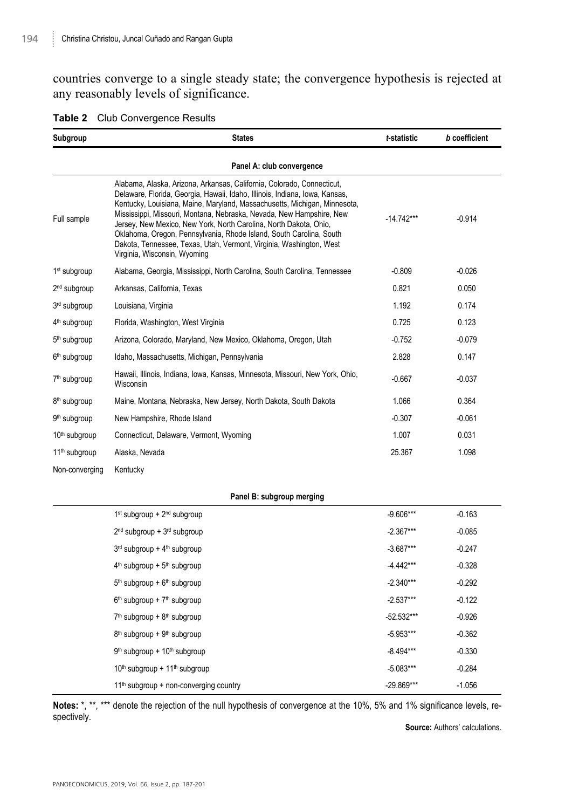countries converge to a single steady state; the convergence hypothesis is rejected at any reasonably levels of significance.

| Subgroup                  | <b>States</b>                                                                                                                                                                                                                                                                                                                                                                                                                                                                                                                                                 | t-statistic  | b coefficient |
|---------------------------|---------------------------------------------------------------------------------------------------------------------------------------------------------------------------------------------------------------------------------------------------------------------------------------------------------------------------------------------------------------------------------------------------------------------------------------------------------------------------------------------------------------------------------------------------------------|--------------|---------------|
|                           | Panel A: club convergence                                                                                                                                                                                                                                                                                                                                                                                                                                                                                                                                     |              |               |
| Full sample               | Alabama, Alaska, Arizona, Arkansas, California, Colorado, Connecticut,<br>Delaware, Florida, Georgia, Hawaii, Idaho, Illinois, Indiana, Iowa, Kansas,<br>Kentucky, Louisiana, Maine, Maryland, Massachusetts, Michigan, Minnesota,<br>Mississippi, Missouri, Montana, Nebraska, Nevada, New Hampshire, New<br>Jersey, New Mexico, New York, North Carolina, North Dakota, Ohio,<br>Oklahoma, Oregon, Pennsylvania, Rhode Island, South Carolina, South<br>Dakota, Tennessee, Texas, Utah, Vermont, Virginia, Washington, West<br>Virginia, Wisconsin, Wyoming | $-14.742***$ | $-0.914$      |
| 1 <sup>st</sup> subgroup  | Alabama, Georgia, Mississippi, North Carolina, South Carolina, Tennessee                                                                                                                                                                                                                                                                                                                                                                                                                                                                                      | $-0.809$     | $-0.026$      |
| 2 <sup>nd</sup> subgroup  | Arkansas, California, Texas                                                                                                                                                                                                                                                                                                                                                                                                                                                                                                                                   | 0.821        | 0.050         |
| 3rd subgroup              | Louisiana, Virginia                                                                                                                                                                                                                                                                                                                                                                                                                                                                                                                                           | 1.192        | 0.174         |
| 4 <sup>th</sup> subgroup  | Florida, Washington, West Virginia                                                                                                                                                                                                                                                                                                                                                                                                                                                                                                                            | 0.725        | 0.123         |
| 5 <sup>th</sup> subgroup  | Arizona, Colorado, Maryland, New Mexico, Oklahoma, Oregon, Utah                                                                                                                                                                                                                                                                                                                                                                                                                                                                                               | $-0.752$     | $-0.079$      |
| 6 <sup>th</sup> subgroup  | Idaho, Massachusetts, Michigan, Pennsylvania                                                                                                                                                                                                                                                                                                                                                                                                                                                                                                                  | 2.828        | 0.147         |
| 7 <sup>th</sup> subgroup  | Hawaii, Illinois, Indiana, Iowa, Kansas, Minnesota, Missouri, New York, Ohio,<br>Wisconsin                                                                                                                                                                                                                                                                                                                                                                                                                                                                    | $-0.667$     | $-0.037$      |
| 8 <sup>th</sup> subgroup  | Maine, Montana, Nebraska, New Jersey, North Dakota, South Dakota                                                                                                                                                                                                                                                                                                                                                                                                                                                                                              | 1.066        | 0.364         |
| 9 <sup>th</sup> subgroup  | New Hampshire, Rhode Island                                                                                                                                                                                                                                                                                                                                                                                                                                                                                                                                   | $-0.307$     | $-0.061$      |
| 10 <sup>th</sup> subgroup | Connecticut, Delaware, Vermont, Wyoming                                                                                                                                                                                                                                                                                                                                                                                                                                                                                                                       | 1.007        | 0.031         |
| 11 <sup>th</sup> subgroup | Alaska, Nevada                                                                                                                                                                                                                                                                                                                                                                                                                                                                                                                                                | 25.367       | 1.098         |
| Non-converaina            | Kentucky                                                                                                                                                                                                                                                                                                                                                                                                                                                                                                                                                      |              |               |

#### **Table 2** Club Convergence Results

#### **Panel B: subgroup merging**

| $1st$ subgroup + $2nd$ subgroup                       | $-9.606***$  | $-0.163$ |
|-------------------------------------------------------|--------------|----------|
| $2nd$ subgroup + $3rd$ subgroup                       | $-2.367***$  | $-0.085$ |
| $3rd$ subgroup + $4th$ subgroup                       | $-3.687***$  | $-0.247$ |
| $4th$ subgroup + $5th$ subgroup                       | $-4.442***$  | $-0.328$ |
| $5th$ subgroup + $6th$ subgroup                       | $-2.340***$  | $-0.292$ |
| $6th$ subgroup + $7th$ subgroup                       | $-2.537***$  | $-0.122$ |
| $7th$ subgroup + $8th$ subgroup                       | $-52.532***$ | $-0.926$ |
| $8th$ subgroup + $9th$ subgroup                       | $-5.953***$  | $-0.362$ |
| $9th$ subgroup + 10 <sup>th</sup> subgroup            | $-8.494***$  | $-0.330$ |
| 10 <sup>th</sup> subgroup + 11 <sup>th</sup> subgroup | $-5.083***$  | $-0.284$ |
| $11th$ subgroup + non-converging country              | $-29.869***$ | $-1.056$ |

**Notes:** \*, \*\*, \*\*\* denote the rejection of the null hypothesis of convergence at the 10%, 5% and 1% significance levels, respectively.

**Source:** Authors' calculations.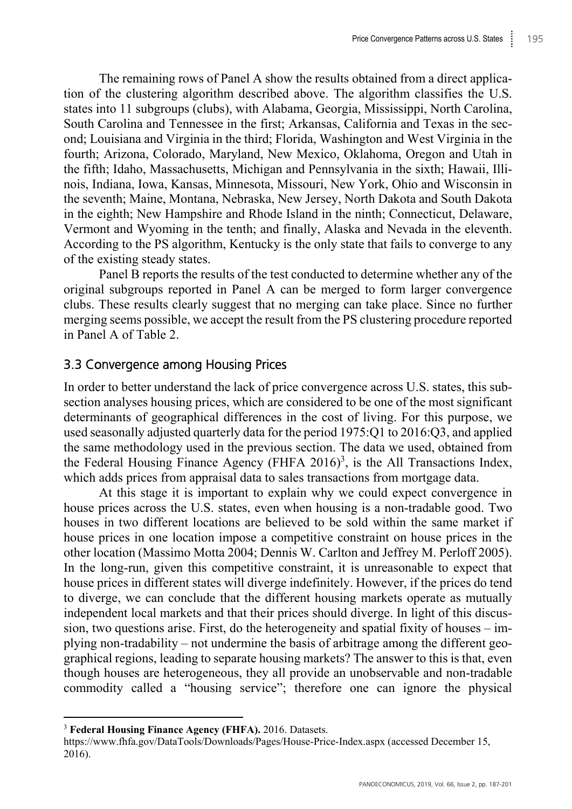The remaining rows of Panel A show the results obtained from a direct application of the clustering algorithm described above. The algorithm classifies the U.S. states into 11 subgroups (clubs), with Alabama, Georgia, Mississippi, North Carolina, South Carolina and Tennessee in the first; Arkansas, California and Texas in the second; Louisiana and Virginia in the third; Florida, Washington and West Virginia in the fourth; Arizona, Colorado, Maryland, New Mexico, Oklahoma, Oregon and Utah in the fifth; Idaho, Massachusetts, Michigan and Pennsylvania in the sixth; Hawaii, Illinois, Indiana, Iowa, Kansas, Minnesota, Missouri, New York, Ohio and Wisconsin in the seventh; Maine, Montana, Nebraska, New Jersey, North Dakota and South Dakota in the eighth; New Hampshire and Rhode Island in the ninth; Connecticut, Delaware, Vermont and Wyoming in the tenth; and finally, Alaska and Nevada in the eleventh. According to the PS algorithm, Kentucky is the only state that fails to converge to any of the existing steady states.

Panel B reports the results of the test conducted to determine whether any of the original subgroups reported in Panel A can be merged to form larger convergence clubs. These results clearly suggest that no merging can take place. Since no further merging seems possible, we accept the result from the PS clustering procedure reported in Panel A of Table 2.

### 3.3 Convergence among Housing Prices

In order to better understand the lack of price convergence across U.S. states, this subsection analyses housing prices, which are considered to be one of the most significant determinants of geographical differences in the cost of living. For this purpose, we used seasonally adjusted quarterly data for the period 1975:Q1 to 2016:Q3, and applied the same methodology used in the previous section. The data we used, obtained from the Federal Housing Finance Agency (FHFA  $2016$ <sup>3</sup>, is the All Transactions Index, which adds prices from appraisal data to sales transactions from mortgage data.

At this stage it is important to explain why we could expect convergence in house prices across the U.S. states, even when housing is a non-tradable good. Two houses in two different locations are believed to be sold within the same market if house prices in one location impose a competitive constraint on house prices in the other location (Massimo Motta 2004; Dennis W. Carlton and Jeffrey M. Perloff 2005). In the long-run, given this competitive constraint, it is unreasonable to expect that house prices in different states will diverge indefinitely. However, if the prices do tend to diverge, we can conclude that the different housing markets operate as mutually independent local markets and that their prices should diverge. In light of this discussion, two questions arise. First, do the heterogeneity and spatial fixity of houses – implying non-tradability – not undermine the basis of arbitrage among the different geographical regions, leading to separate housing markets? The answer to this is that, even though houses are heterogeneous, they all provide an unobservable and non-tradable commodity called a "housing service"; therefore one can ignore the physical

 $\overline{a}$ 

<sup>3</sup> **Federal Housing Finance Agency (FHFA).** 2016. Datasets.

https://www.fhfa.gov/DataTools/Downloads/Pages/House-Price-Index.aspx (accessed December 15, 2016).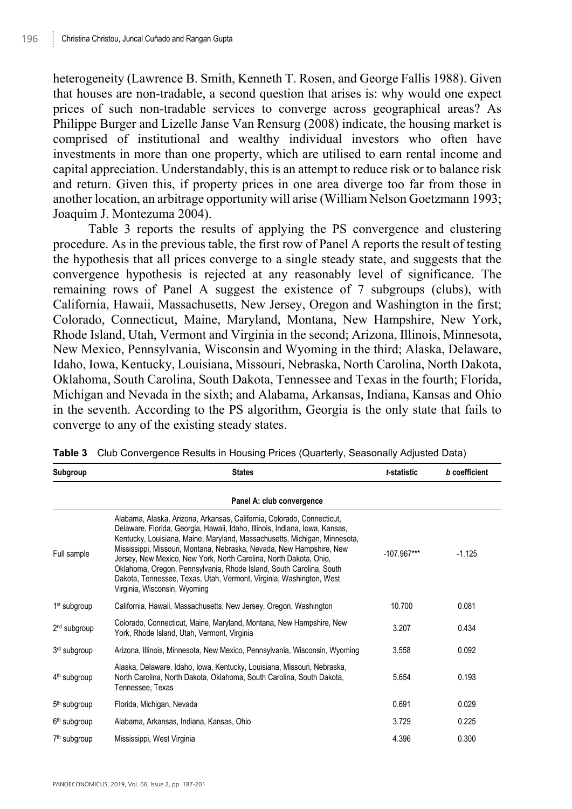heterogeneity (Lawrence B. Smith, Kenneth T. Rosen, and George Fallis 1988). Given that houses are non-tradable, a second question that arises is: why would one expect prices of such non-tradable services to converge across geographical areas? As Philippe Burger and Lizelle Janse Van Rensurg (2008) indicate, the housing market is comprised of institutional and wealthy individual investors who often have investments in more than one property, which are utilised to earn rental income and capital appreciation. Understandably, this is an attempt to reduce risk or to balance risk and return. Given this, if property prices in one area diverge too far from those in another location, an arbitrage opportunity will arise (William Nelson Goetzmann 1993; Joaquim J. Montezuma 2004).

Table 3 reports the results of applying the PS convergence and clustering procedure. As in the previous table, the first row of Panel A reports the result of testing the hypothesis that all prices converge to a single steady state, and suggests that the convergence hypothesis is rejected at any reasonably level of significance. The remaining rows of Panel A suggest the existence of 7 subgroups (clubs), with California, Hawaii, Massachusetts, New Jersey, Oregon and Washington in the first; Colorado, Connecticut, Maine, Maryland, Montana, New Hampshire, New York, Rhode Island, Utah, Vermont and Virginia in the second; Arizona, Illinois, Minnesota, New Mexico, Pennsylvania, Wisconsin and Wyoming in the third; Alaska, Delaware, Idaho, Iowa, Kentucky, Louisiana, Missouri, Nebraska, North Carolina, North Dakota, Oklahoma, South Carolina, South Dakota, Tennessee and Texas in the fourth; Florida, Michigan and Nevada in the sixth; and Alabama, Arkansas, Indiana, Kansas and Ohio in the seventh. According to the PS algorithm, Georgia is the only state that fails to converge to any of the existing steady states.

| Subgroup                 | <b>States</b>                                                                                                                                                                                                                                                                                                                                                                                                                                                                                                                                                 | t-statistic   | b coefficient |
|--------------------------|---------------------------------------------------------------------------------------------------------------------------------------------------------------------------------------------------------------------------------------------------------------------------------------------------------------------------------------------------------------------------------------------------------------------------------------------------------------------------------------------------------------------------------------------------------------|---------------|---------------|
|                          | Panel A: club convergence                                                                                                                                                                                                                                                                                                                                                                                                                                                                                                                                     |               |               |
| Full sample              | Alabama, Alaska, Arizona, Arkansas, California, Colorado, Connecticut,<br>Delaware, Florida, Georgia, Hawaii, Idaho, Illinois, Indiana, Iowa, Kansas,<br>Kentucky, Louisiana, Maine, Maryland, Massachusetts, Michigan, Minnesota,<br>Mississippi, Missouri, Montana, Nebraska, Nevada, New Hampshire, New<br>Jersey, New Mexico, New York, North Carolina, North Dakota, Ohio,<br>Oklahoma, Oregon, Pennsylvania, Rhode Island, South Carolina, South<br>Dakota, Tennessee, Texas, Utah, Vermont, Virginia, Washington, West<br>Virginia, Wisconsin, Wyoming | $-107.967***$ | $-1.125$      |
| 1 <sup>st</sup> subgroup | California, Hawaii, Massachusetts, New Jersey, Oregon, Washington                                                                                                                                                                                                                                                                                                                                                                                                                                                                                             | 10.700        | 0.081         |
| 2 <sup>nd</sup> subgroup | Colorado, Connecticut, Maine, Maryland, Montana, New Hampshire, New<br>York, Rhode Island, Utah, Vermont, Virginia                                                                                                                                                                                                                                                                                                                                                                                                                                            | 3.207         | 0.434         |
| 3 <sup>rd</sup> subgroup | Arizona, Illinois, Minnesota, New Mexico, Pennsylvania, Wisconsin, Wyoming                                                                                                                                                                                                                                                                                                                                                                                                                                                                                    | 3.558         | 0.092         |
| 4 <sup>th</sup> subgroup | Alaska, Delaware, Idaho, Iowa, Kentucky, Louisiana, Missouri, Nebraska,<br>North Carolina, North Dakota, Oklahoma, South Carolina, South Dakota,<br>Tennessee, Texas                                                                                                                                                                                                                                                                                                                                                                                          | 5.654         | 0.193         |
| 5 <sup>th</sup> subgroup | Florida, Michigan, Nevada                                                                                                                                                                                                                                                                                                                                                                                                                                                                                                                                     | 0.691         | 0.029         |
| 6 <sup>th</sup> subgroup | Alabama, Arkansas, Indiana, Kansas, Ohio                                                                                                                                                                                                                                                                                                                                                                                                                                                                                                                      | 3.729         | 0.225         |
| 7 <sup>th</sup> subgroup | Mississippi, West Virginia                                                                                                                                                                                                                                                                                                                                                                                                                                                                                                                                    | 4.396         | 0.300         |

**Table 3** Club Convergence Results in Housing Prices (Quarterly, Seasonally Adjusted Data)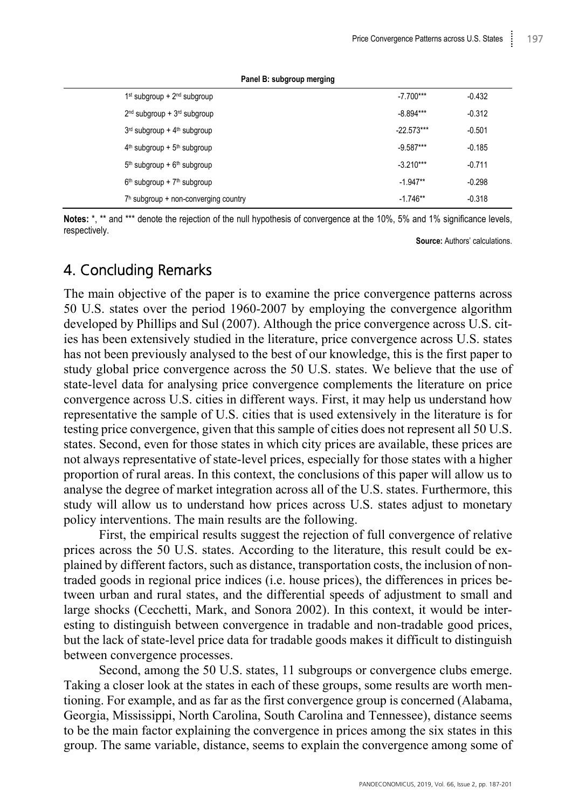| $1st$ subgroup + $2nd$ subgroup        | $-7.700***$  | $-0.432$ |
|----------------------------------------|--------------|----------|
| $2nd$ subgroup + $3rd$ subgroup        | $-8.894***$  | $-0.312$ |
| $3rd$ subgroup + $4th$ subgroup        | $-22.573***$ | $-0.501$ |
| $4th$ subgroup + $5th$ subgroup        | $-9.587***$  | $-0.185$ |
| $5th$ subgroup + $6th$ subgroup        | $-3.210***$  | $-0.711$ |
| $6th$ subgroup + $7th$ subgroup        | $-1.947**$   | $-0.298$ |
| $7h$ subgroup + non-converging country | $-1.746**$   | $-0.318$ |

**Panel B: subgroup merging**

**Notes:** \*, \*\* and \*\*\* denote the rejection of the null hypothesis of convergence at the 10%, 5% and 1% significance levels, respectively.

**Source:** Authors' calculations.

# 4. Concluding Remarks

The main objective of the paper is to examine the price convergence patterns across 50 U.S. states over the period 1960-2007 by employing the convergence algorithm developed by Phillips and Sul (2007). Although the price convergence across U.S. cities has been extensively studied in the literature, price convergence across U.S. states has not been previously analysed to the best of our knowledge, this is the first paper to study global price convergence across the 50 U.S. states. We believe that the use of state-level data for analysing price convergence complements the literature on price convergence across U.S. cities in different ways. First, it may help us understand how representative the sample of U.S. cities that is used extensively in the literature is for testing price convergence, given that this sample of cities does not represent all 50 U.S. states. Second, even for those states in which city prices are available, these prices are not always representative of state-level prices, especially for those states with a higher proportion of rural areas. In this context, the conclusions of this paper will allow us to analyse the degree of market integration across all of the U.S. states. Furthermore, this study will allow us to understand how prices across U.S. states adjust to monetary policy interventions. The main results are the following.

First, the empirical results suggest the rejection of full convergence of relative prices across the 50 U.S. states. According to the literature, this result could be explained by different factors, such as distance, transportation costs, the inclusion of nontraded goods in regional price indices (i.e. house prices), the differences in prices between urban and rural states, and the differential speeds of adjustment to small and large shocks (Cecchetti, Mark, and Sonora 2002). In this context, it would be interesting to distinguish between convergence in tradable and non-tradable good prices, but the lack of state-level price data for tradable goods makes it difficult to distinguish between convergence processes.

Second, among the 50 U.S. states, 11 subgroups or convergence clubs emerge. Taking a closer look at the states in each of these groups, some results are worth mentioning. For example, and as far as the first convergence group is concerned (Alabama, Georgia, Mississippi, North Carolina, South Carolina and Tennessee), distance seems to be the main factor explaining the convergence in prices among the six states in this group. The same variable, distance, seems to explain the convergence among some of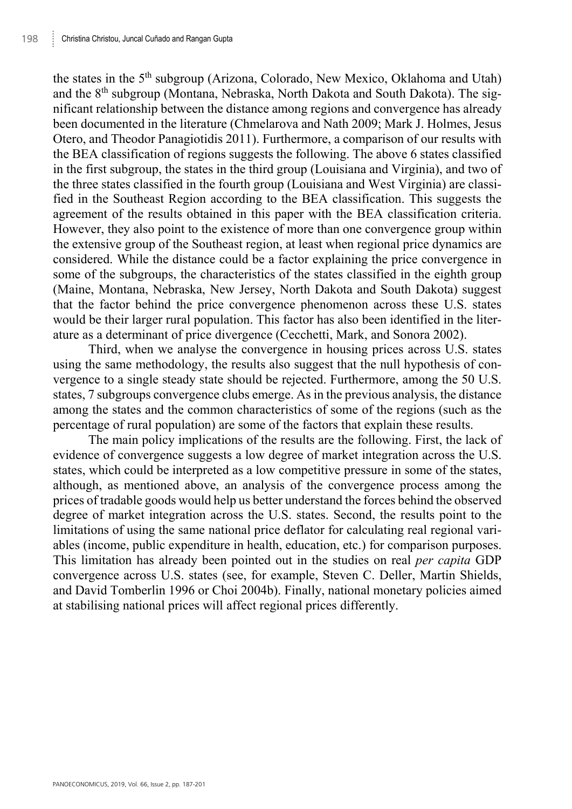the states in the 5<sup>th</sup> subgroup (Arizona, Colorado, New Mexico, Oklahoma and Utah) and the 8<sup>th</sup> subgroup (Montana, Nebraska, North Dakota and South Dakota). The significant relationship between the distance among regions and convergence has already been documented in the literature (Chmelarova and Nath 2009; Mark J. Holmes, Jesus Otero, and Theodor Panagiotidis 2011). Furthermore, a comparison of our results with the BEA classification of regions suggests the following. The above 6 states classified in the first subgroup, the states in the third group (Louisiana and Virginia), and two of the three states classified in the fourth group (Louisiana and West Virginia) are classified in the Southeast Region according to the BEA classification. This suggests the agreement of the results obtained in this paper with the BEA classification criteria. However, they also point to the existence of more than one convergence group within the extensive group of the Southeast region, at least when regional price dynamics are considered. While the distance could be a factor explaining the price convergence in some of the subgroups, the characteristics of the states classified in the eighth group (Maine, Montana, Nebraska, New Jersey, North Dakota and South Dakota) suggest that the factor behind the price convergence phenomenon across these U.S. states would be their larger rural population. This factor has also been identified in the literature as a determinant of price divergence (Cecchetti, Mark, and Sonora 2002).

Third, when we analyse the convergence in housing prices across U.S. states using the same methodology, the results also suggest that the null hypothesis of convergence to a single steady state should be rejected. Furthermore, among the 50 U.S. states, 7 subgroups convergence clubs emerge. As in the previous analysis, the distance among the states and the common characteristics of some of the regions (such as the percentage of rural population) are some of the factors that explain these results.

The main policy implications of the results are the following. First, the lack of evidence of convergence suggests a low degree of market integration across the U.S. states, which could be interpreted as a low competitive pressure in some of the states, although, as mentioned above, an analysis of the convergence process among the prices of tradable goods would help us better understand the forces behind the observed degree of market integration across the U.S. states. Second, the results point to the limitations of using the same national price deflator for calculating real regional variables (income, public expenditure in health, education, etc.) for comparison purposes. This limitation has already been pointed out in the studies on real *per capita* GDP convergence across U.S. states (see, for example, Steven C. Deller, Martin Shields, and David Tomberlin 1996 or Choi 2004b). Finally, national monetary policies aimed at stabilising national prices will affect regional prices differently.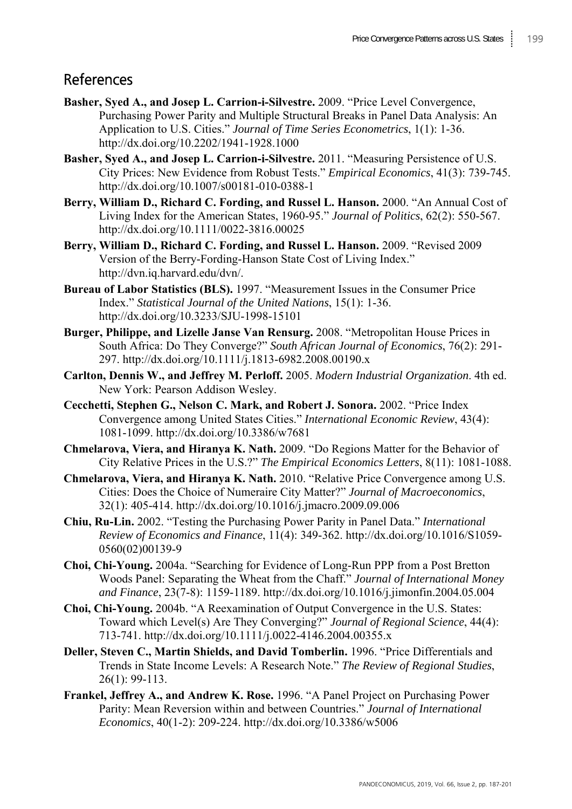# References

- **Basher, Syed A., and Josep L. Carrion-i-Silvestre.** 2009. "Price Level Convergence, Purchasing Power Parity and Multiple Structural Breaks in Panel Data Analysis: An Application to U.S. Cities." *Journal of Time Series Econometrics*, 1(1): 1-36. http://dx.doi.org/10.2202/1941-1928.1000
- **Basher, Syed A., and Josep L. Carrion-i-Silvestre.** 2011. "Measuring Persistence of U.S. City Prices: New Evidence from Robust Tests." *Empirical Economics*, 41(3): 739-745. http://dx.doi.org/10.1007/s00181-010-0388-1
- **Berry, William D., Richard C. Fording, and Russel L. Hanson.** 2000. "An Annual Cost of Living Index for the American States, 1960-95." *Journal of Politics*, 62(2): 550-567. http://dx.doi.org/10.1111/0022-3816.00025
- **Berry, William D., Richard C. Fording, and Russel L. Hanson.** 2009. "Revised 2009 Version of the Berry-Fording-Hanson State Cost of Living Index." http://dvn.iq.harvard.edu/dvn/.
- **Bureau of Labor Statistics (BLS).** 1997. "Measurement Issues in the Consumer Price Index." *Statistical Journal of the United Nations*, 15(1): 1-36. http://dx.doi.org/10.3233/SJU-1998-15101
- **Burger, Philippe, and Lizelle Janse Van Rensurg.** 2008. "Metropolitan House Prices in South Africa: Do They Converge?" *South African Journal of Economics*, 76(2): 291- 297. http://dx.doi.org/10.1111/j.1813-6982.2008.00190.x
- **Carlton, Dennis W., and Jeffrey M. Perloff.** 2005. *Modern Industrial Organization*. 4th ed. New York: Pearson Addison Wesley.
- **Cecchetti, Stephen G., Nelson C. Mark, and Robert J. Sonora.** 2002. "Price Index Convergence among United States Cities." *International Economic Review*, 43(4): 1081-1099. http://dx.doi.org/10.3386/w7681
- **Chmelarova, Viera, and Hiranya K. Nath.** 2009. "Do Regions Matter for the Behavior of City Relative Prices in the U.S.?" *The Empirical Economics Letters*, 8(11): 1081-1088.
- **Chmelarova, Viera, and Hiranya K. Nath.** 2010. "Relative Price Convergence among U.S. Cities: Does the Choice of Numeraire City Matter?" *Journal of Macroeconomics*, 32(1): 405-414. http://dx.doi.org/10.1016/j.jmacro.2009.09.006
- **Chiu, Ru-Lin.** 2002. "Testing the Purchasing Power Parity in Panel Data." *International Review of Economics and Finance*, 11(4): 349-362. http://dx.doi.org/10.1016/S1059- 0560(02)00139-9
- **Choi, Chi-Young.** 2004a. "Searching for Evidence of Long-Run PPP from a Post Bretton Woods Panel: Separating the Wheat from the Chaff." *Journal of International Money and Finance*, 23(7-8): 1159-1189. http://dx.doi.org/10.1016/j.jimonfin.2004.05.004
- **Choi, Chi-Young.** 2004b. "A Reexamination of Output Convergence in the U.S. States: Toward which Level(s) Are They Converging?" *Journal of Regional Science*, 44(4): 713-741. http://dx.doi.org/10.1111/j.0022-4146.2004.00355.x
- **Deller, Steven C., Martin Shields, and David Tomberlin.** 1996. "Price Differentials and Trends in State Income Levels: A Research Note." *The Review of Regional Studies*, 26(1): 99-113.
- **Frankel, Jeffrey A., and Andrew K. Rose.** 1996. "A Panel Project on Purchasing Power Parity: Mean Reversion within and between Countries." *Journal of International Economics*, 40(1-2): 209-224. http://dx.doi.org/10.3386/w5006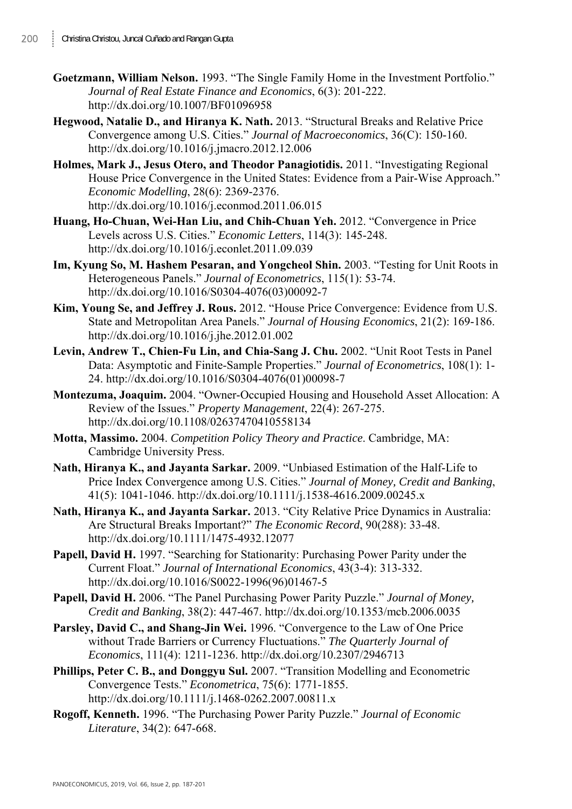- **Goetzmann, William Nelson.** 1993. "The Single Family Home in the Investment Portfolio." *Journal of Real Estate Finance and Economics*, 6(3): 201-222. http://dx.doi.org/10.1007/BF01096958
- **Hegwood, Natalie D., and Hiranya K. Nath.** 2013. "Structural Breaks and Relative Price Convergence among U.S. Cities." *Journal of Macroeconomics*, 36(C): 150-160. http://dx.doi.org/10.1016/j.jmacro.2012.12.006
- **Holmes, Mark J., Jesus Otero, and Theodor Panagiotidis.** 2011. "Investigating Regional House Price Convergence in the United States: Evidence from a Pair-Wise Approach." *Economic Modelling*, 28(6): 2369-2376. http://dx.doi.org/10.1016/j.econmod.2011.06.015
- **Huang, Ho-Chuan, Wei-Han Liu, and Chih-Chuan Yeh.** 2012. "Convergence in Price Levels across U.S. Cities." *Economic Letters*, 114(3): 145-248. http://dx.doi.org/10.1016/j.econlet.2011.09.039
- **Im, Kyung So, M. Hashem Pesaran, and Yongcheol Shin.** 2003. "Testing for Unit Roots in Heterogeneous Panels." *Journal of Econometrics*, 115(1): 53-74. http://dx.doi.org/10.1016/S0304-4076(03)00092-7
- **Kim, Young Se, and Jeffrey J. Rous.** 2012. "House Price Convergence: Evidence from U.S. State and Metropolitan Area Panels." *Journal of Housing Economics*, 21(2): 169-186. http://dx.doi.org/10.1016/j.jhe.2012.01.002
- **Levin, Andrew T., Chien-Fu Lin, and Chia-Sang J. Chu.** 2002. "Unit Root Tests in Panel Data: Asymptotic and Finite-Sample Properties." *Journal of Econometrics*, 108(1): 1- 24. http://dx.doi.org/10.1016/S0304-4076(01)00098-7
- **Montezuma, Joaquim.** 2004. "Owner-Occupied Housing and Household Asset Allocation: A Review of the Issues." *Property Management*, 22(4): 267-275. http://dx.doi.org/10.1108/02637470410558134
- **Motta, Massimo.** 2004. *Competition Policy Theory and Practice*. Cambridge, MA: Cambridge University Press.
- **Nath, Hiranya K., and Jayanta Sarkar.** 2009. "Unbiased Estimation of the Half-Life to Price Index Convergence among U.S. Cities." *Journal of Money, Credit and Banking*, 41(5): 1041-1046. http://dx.doi.org/10.1111/j.1538-4616.2009.00245.x
- **Nath, Hiranya K., and Jayanta Sarkar.** 2013. "City Relative Price Dynamics in Australia: Are Structural Breaks Important?" *The Economic Record*, 90(288): 33-48. http://dx.doi.org/10.1111/1475-4932.12077
- **Papell, David H.** 1997. "Searching for Stationarity: Purchasing Power Parity under the Current Float." *Journal of International Economics*, 43(3-4): 313-332. http://dx.doi.org/10.1016/S0022-1996(96)01467-5
- **Papell, David H.** 2006. "The Panel Purchasing Power Parity Puzzle." *Journal of Money, Credit and Banking*, 38(2): 447-467. http://dx.doi.org/10.1353/mcb.2006.0035
- **Parsley, David C., and Shang-Jin Wei.** 1996. "Convergence to the Law of One Price without Trade Barriers or Currency Fluctuations." *The Quarterly Journal of Economics*, 111(4): 1211-1236. http://dx.doi.org/10.2307/2946713
- **Phillips, Peter C. B., and Donggyu Sul.** 2007. "Transition Modelling and Econometric Convergence Tests." *Econometrica*, 75(6): 1771-1855. http://dx.doi.org/10.1111/j.1468-0262.2007.00811.x
- **Rogoff, Kenneth.** 1996. "The Purchasing Power Parity Puzzle." *Journal of Economic Literature*, 34(2): 647-668.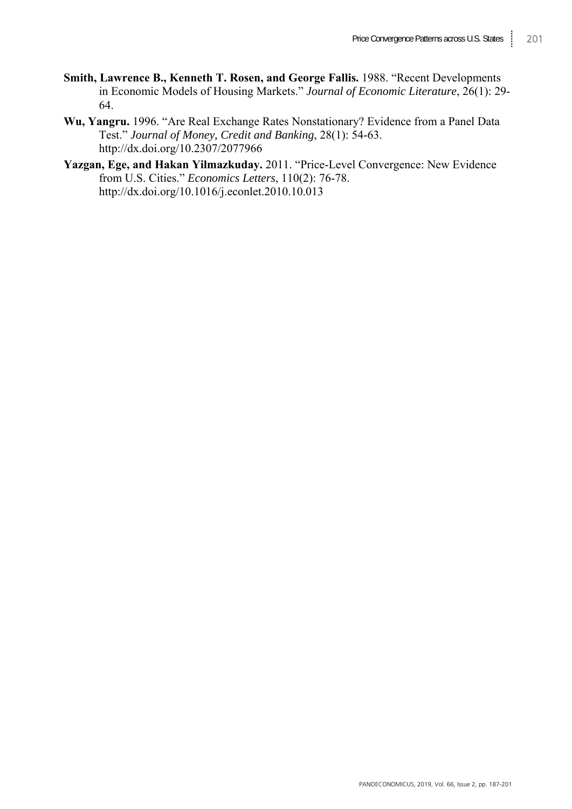- **Smith, Lawrence B., Kenneth T. Rosen, and George Fallis.** 1988. "Recent Developments in Economic Models of Housing Markets." *Journal of Economic Literature*, 26(1): 29- 64.
- **Wu, Yangru.** 1996. "Are Real Exchange Rates Nonstationary? Evidence from a Panel Data Test." *Journal of Money, Credit and Banking*, 28(1): 54-63. http://dx.doi.org/10.2307/2077966
- **Yazgan, Ege, and Hakan Yilmazkuday.** 2011. "Price-Level Convergence: New Evidence from U.S. Cities." *Economics Letters*, 110(2): 76-78. http://dx.doi.org/10.1016/j.econlet.2010.10.013